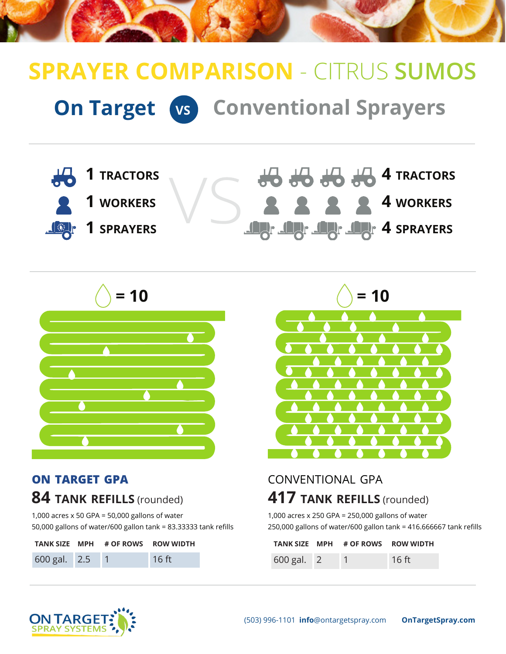# **On Target VS Conventional Sprayers SPRAYER COMPARISON** - CITRUS **SUMOS**





#### **on target gpa**

## **84 tank refills** (rounded)

1,000 acres x 50 GPA = 50,000 gallons of water 50,000 gallons of water/600 gallon tank = 83.33333 tank refills

|                | TANK SIZE MPH # OF ROWS ROW WIDTH |       |
|----------------|-----------------------------------|-------|
| 600 gal. 2.5 1 |                                   | 16 ft |



## conventional gpa **417 tank refills** (rounded)

1,000 acres x 250 GPA = 250,000 gallons of water 250,000 gallons of water/600 gallon tank = 416.666667 tank refills

|              | TANK SIZE MPH # OF ROWS ROW WIDTH |         |
|--------------|-----------------------------------|---------|
| $600$ gal. 2 |                                   | $16$ ft |